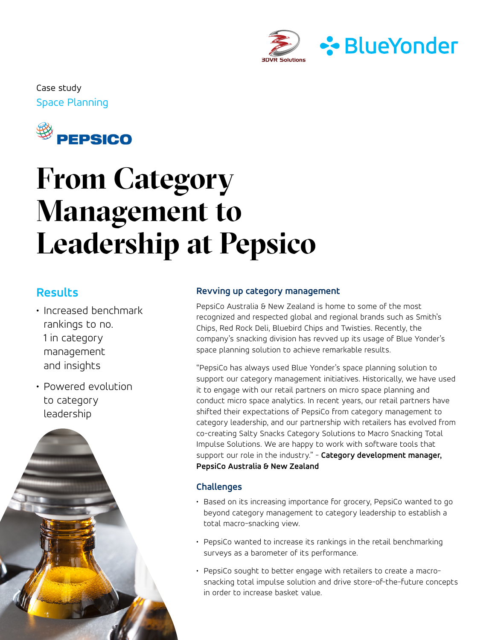

Space Planning Case study



# **From Category Management to Leadership at Pepsico**

## **Results**

- Increased benchmark rankings to no. 1 in category management and insights
- Powered evolution to category leadership



#### **Revving up category management**

PepsiCo Australia & New Zealand is home to some of the most recognized and respected global and regional brands such as Smith's Chips, Red Rock Deli, Bluebird Chips and Twisties. Recently, the company's snacking division has revved up its usage of Blue Yonder's space planning solution to achieve remarkable results.

"PepsiCo has always used Blue Yonder's space planning solution to support our category management initiatives. Historically, we have used it to engage with our retail partners on micro space planning and conduct micro space analytics. In recent years, our retail partners have shifted their expectations of PepsiCo from category management to category leadership, and our partnership with retailers has evolved from co-creating Salty Snacks Category Solutions to Macro Snacking Total Impulse Solutions. We are happy to work with software tools that support our role in the industry." - **Category development manager, PepsiCo Australia & New Zealand**

### **Challenges**

- Based on its increasing importance for grocery, PepsiCo wanted to go beyond category management to category leadership to establish a total macro-snacking view.
- PepsiCo wanted to increase its rankings in the retail benchmarking surveys as a barometer of its performance.
- PepsiCo sought to better engage with retailers to create a macrosnacking total impulse solution and drive store-of-the-future concepts in order to increase basket value.